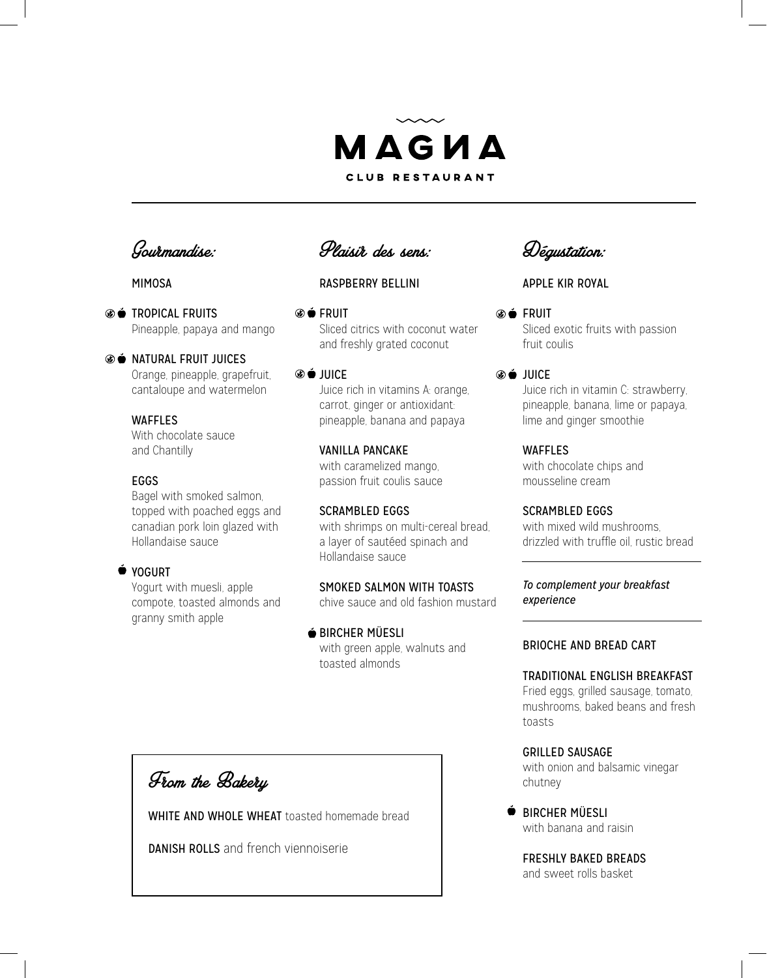

Gourmandise:

# **MIMOSA**

**CO**  $\bullet$  TROPICAL FRUITS Pineapple, papaya and mango

**S**  $\bullet$  NATURAL FRUIT JUICES Orange, pineapple, grapefruit, cantaloupe and watermelon

# WAFFI<sub>FS</sub>

With chocolate sauce and Chantilly

# EGGS

Bagel with smoked salmon, topped with poached eggs and canadian pork loin glazed with Hollandaise sauce

# $\bullet$  YOGURT

Yogurt with muesli, apple compote, toasted almonds and granny smith apple

Plaisir des sens:

# RASPBERRY BELLINI

- **⊛é FRIIIT** Sliced citrics with coconut water and freshly grated coconut
- JUICE

Juice rich in vitamins A: orange, carrot, ginger or antioxidant: pineapple, banana and papaya

VANILLA PANCAKE with caramelized mango, passion fruit coulis sauce

SCRAMBLED EGGS with shrimps on multi-cereal bread, a layer of sautéed spinach and Hollandaise sauce

SMOKED SALMON WITH TOASTS chive sauce and old fashion mustard

**BIRCHER MÜESLI** with green apple, walnuts and toasted almonds

# From the Bakery

WHITE AND WHOLE WHEAT toasted homemade bread

DANISH ROLLS and french viennoiserie

Dégustation:

- APPLE KIR ROYAL
- **®é FRUIT** Sliced exotic fruits with passion fruit coulis
- **⊗é JUICE**

Juice rich in vitamin C: strawberry, pineapple, banana, lime or papaya, lime and ginger smoothie

**WAFFLES** with chocolate chips and mousseline cream

SCRAMBLED EGGS with mixed wild mushrooms drizzled with truffle oil, rustic bread

*To complement your breakfast experience*

# BRIOCHE AND BREAD CART

# TRADITIONAL ENGLISH BREAKFAST

Fried eggs, grilled sausage, tomato, mushrooms, baked beans and fresh toasts

# GRILLED SAUSAGE

with onion and balsamic vinegar chutney

**BIRCHER MÜESLI** with banana and raisin

> FRESHLY BAKED BREADS and sweet rolls basket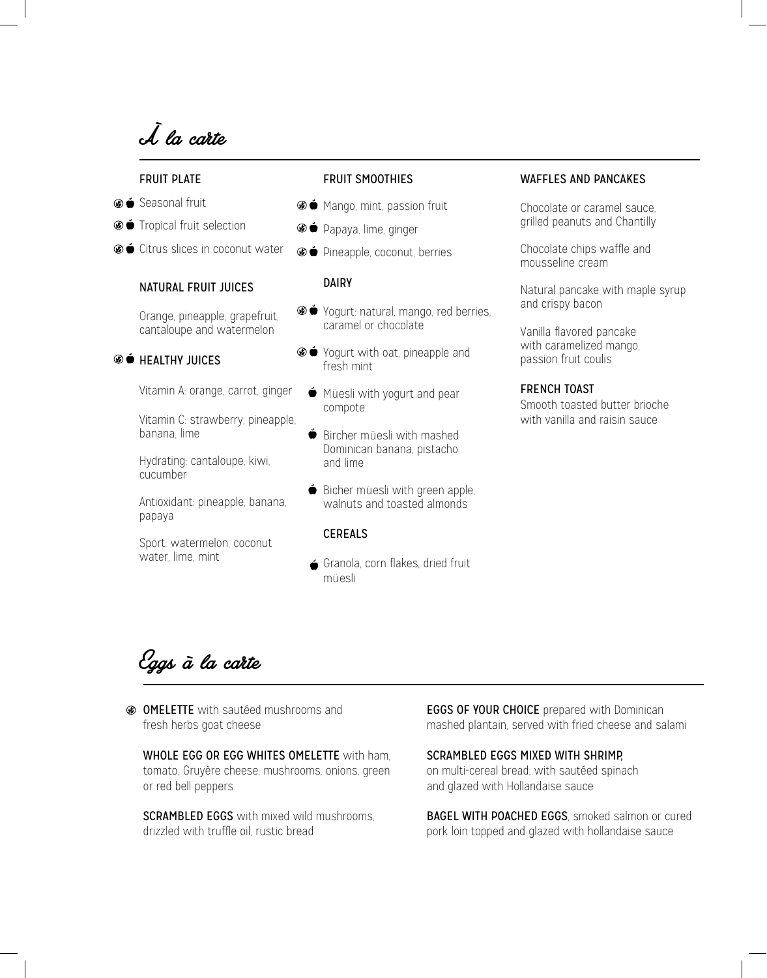À la carte

#### FRUIT PLATE

- **® é** Seasonal fruit
- Tropical fruit selection
- Citrus slices in coconut water

#### NATURAL FRUIT JUICES

Orange, pineapple, grapefruit, cantaloupe and watermelon

## **S**  $\bullet$  HEALTHY JUICES

Vitamin A: orange, carrot, ginger

Vitamin C: strawberry, pineapple, banana, lime

Hydrating: cantaloupe, kiwi, cucumber

Antioxidant: pineapple, banana, papaya

Sport: watermelon, coconut water, lime, mint

## FRUIT SMOOTHIES

- Mango, mint, passion fruit
- $\circledast$  Papaya, lime, ginger
- Pineapple, coconut, berries

# DAIRY

- $\circ$  **→** Yogurt: natural, mango, red berries, caramel or chocolate
- Yogurt with oat, pineapple and fresh mint
	- $\bullet$  Müesli with yogurt and pear compote
	- Rircher müesli with mashed Dominican banana, pistacho and lime
	- Bicher müesli with green apple, walnuts and toasted almonds.

# CEREALS

Granola, corn flakes, dried fruit müesli

## WAFFLES AND PANCAKES

Chocolate or caramel sauce, grilled peanuts and Chantilly

Chocolate chips waffle and mousseline cream

Natural pancake with maple syrup and crispy bacon

Vanilla flavored pancake with caramelized mango, passion fruit coulis

#### FRENCH TOAST

Smooth toasted butter brioche with vanilla and raisin sauce

Eggs à la carte

 $\circledast$  **OMELETTE** with sautéed mushrooms and fresh herbs goat cheese

WHOLE EGG OR EGG WHITES OMELETTE with ham, tomato, Gruyère cheese, mushrooms, onions, green or red bell peppers

SCRAMBLED EGGS with mixed wild mushrooms drizzled with truffle oil, rustic bread

**EGGS OF YOUR CHOICE** prepared with Dominican mashed plantain, served with fried cheese and salami

SCRAMBLED EGGS MIXED WITH SHRIMP, on multi-cereal bread, with sautéed spinach

and glazed with Hollandaise sauce

**BAGEL WITH POACHED EGGS**, smoked salmon or cured pork loin topped and glazed with hollandaise sauce